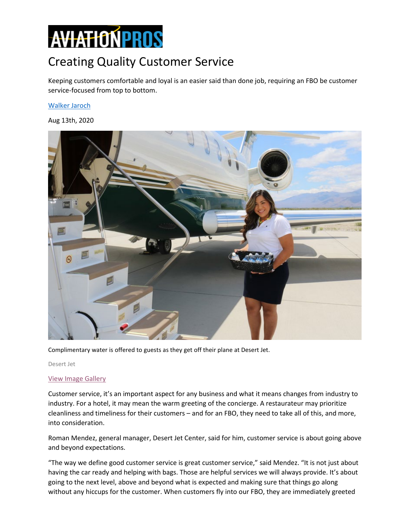# **AVIATIONPROS**

## Creating Quality Customer Service

Keeping customers comfortable and loyal is an easier said than done job, requiring an FBO be customer service-focused from top to bottom.

#### [Walker Jaroch](https://www.aviationpros.com/contact-us/contact/21071773/assistant-editor)

Aug 13th, 2020



Complimentary water is offered to guests as they get off their plane at Desert Jet.

Desert Jet

#### [View Image Gallery](https://www.aviationpros.com/fbos-tenants/article/21146270/creating-quality-customer-service#&gid=1&pid=1)

Customer service, it's an important aspect for any business and what it means changes from industry to industry. For a hotel, it may mean the warm greeting of the concierge. A restaurateur may prioritize cleanliness and timeliness for their customers – and for an FBO, they need to take all of this, and more, into consideration.

Roman Mendez, general manager, Desert Jet Center, said for him, customer service is about going above and beyond expectations.

"The way we define good customer service is great customer service," said Mendez. "It is not just about having the car ready and helping with bags. Those are helpful services we will always provide. It's about going to the next level, above and beyond what is expected and making sure that things go along without any hiccups for the customer. When customers fly into our FBO, they are immediately greeted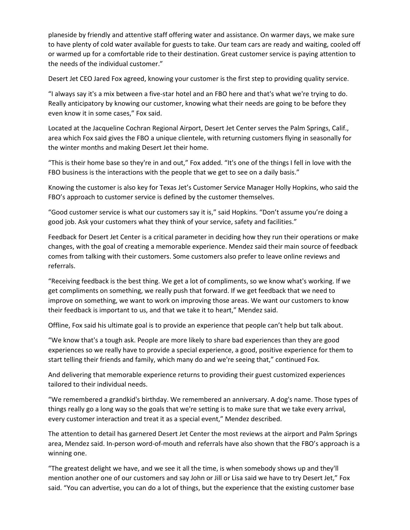planeside by friendly and attentive staff offering water and assistance. On warmer days, we make sure to have plenty of cold water available for guests to take. Our team cars are ready and waiting, cooled off or warmed up for a comfortable ride to their destination. Great customer service is paying attention to the needs of the individual customer."

Desert Jet CEO Jared Fox agreed, knowing your customer is the first step to providing quality service.

"I always say it's a mix between a five-star hotel and an FBO here and that's what we're trying to do. Really anticipatory by knowing our customer, knowing what their needs are going to be before they even know it in some cases," Fox said.

Located at the Jacqueline Cochran Regional Airport, Desert Jet Center serves the Palm Springs, Calif., area which Fox said gives the FBO a unique clientele, with returning customers flying in seasonally for the winter months and making Desert Jet their home.

"This is their home base so they're in and out," Fox added. "It's one of the things I fell in love with the FBO business is the interactions with the people that we get to see on a daily basis."

Knowing the customer is also key for Texas Jet's Customer Service Manager Holly Hopkins, who said the FBO's approach to customer service is defined by the customer themselves.

"Good customer service is what our customers say it is," said Hopkins. "Don't assume you're doing a good job. Ask your customers what they think of your service, safety and facilities."

Feedback for Desert Jet Center is a critical parameter in deciding how they run their operations or make changes, with the goal of creating a memorable experience. Mendez said their main source of feedback comes from talking with their customers. Some customers also prefer to leave online reviews and referrals.

"Receiving feedback is the best thing. We get a lot of compliments, so we know what's working. If we get compliments on something, we really push that forward. If we get feedback that we need to improve on something, we want to work on improving those areas. We want our customers to know their feedback is important to us, and that we take it to heart," Mendez said.

Offline, Fox said his ultimate goal is to provide an experience that people can't help but talk about.

"We know that's a tough ask. People are more likely to share bad experiences than they are good experiences so we really have to provide a special experience, a good, positive experience for them to start telling their friends and family, which many do and we're seeing that," continued Fox.

And delivering that memorable experience returns to providing their guest customized experiences tailored to their individual needs.

"We remembered a grandkid's birthday. We remembered an anniversary. A dog's name. Those types of things really go a long way so the goals that we're setting is to make sure that we take every arrival, every customer interaction and treat it as a special event," Mendez described.

The attention to detail has garnered Desert Jet Center the most reviews at the airport and Palm Springs area, Mendez said. In-person word-of-mouth and referrals have also shown that the FBO's approach is a winning one.

"The greatest delight we have, and we see it all the time, is when somebody shows up and they'll mention another one of our customers and say John or Jill or Lisa said we have to try Desert Jet," Fox said. "You can advertise, you can do a lot of things, but the experience that the existing customer base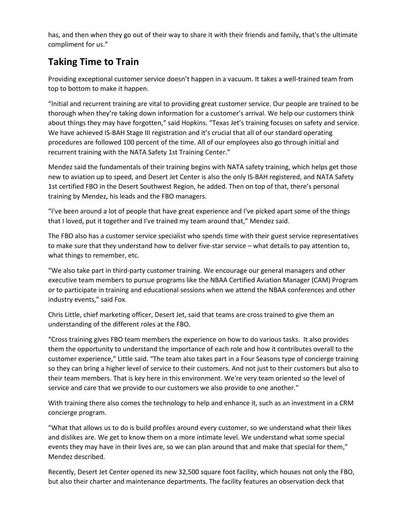has, and then when they go out of their way to share it with their friends and family, that's the ultimate compliment for us."

### **Taking Time to Train**

Providing exceptional customer service doesn't happen in a vacuum. It takes a well-trained team from top to bottom to make it happen.

"Initial and recurrent training are vital to providing great customer service. Our people are trained to be thorough when they're taking down information for a customer's arrival. We help our customers think about things they may have forgotten," said Hopkins. "Texas Jet's training focuses on safety and service. We have achieved IS-BAH Stage III registration and it's crucial that all of our standard operating procedures are followed 100 percent of the time. All of our employees also go through initial and recurrent training with the NATA Safety 1st Training Center."

Mendez said the fundamentals of their training begins with NATA safety training, which helps get those new to aviation up to speed, and Desert Jet Center is also the only IS-BAH registered, and NATA Safety 1st certified FBO in the Desert Southwest Region, he added. Then on top of that, there's personal training by Mendez, his leads and the FBO managers.

"I've been around a lot of people that have great experience and I've picked apart some of the things that I loved, put it together and I've trained my team around that," Mendez said.

The FBO also has a customer service specialist who spends time with their guest service representatives to make sure that they understand how to deliver five-star service – what details to pay attention to, what things to remember, etc.

"We also take part in third-party customer training. We encourage our general managers and other executive team members to pursue programs like the NBAA Certified Aviation Manager (CAM) Program or to participate in training and educational sessions when we attend the NBAA conferences and other industry events," said Fox.

Chris Little, chief marketing officer, Desert Jet, said that teams are cross trained to give them an understanding of the different roles at the FBO.

"Cross training gives FBO team members the experience on how to do various tasks. It also provides them the opportunity to understand the importance of each role and how it contributes overall to the customer experience," Little said. "The team also takes part in a Four Seasons type of concierge training so they can bring a higher level of service to their customers. And not just to their customers but also to their team members. That is key here in this environment. We're very team oriented so the level of service and care that we provide to our customers we also provide to one another."

With training there also comes the technology to help and enhance it, such as an investment in a CRM concierge program.

"What that allows us to do is build profiles around every customer, so we understand what their likes and dislikes are. We get to know them on a more intimate level. We understand what some special events they may have in their lives are, so we can plan around that and make that special for them," Mendez described.

Recently, Desert Jet Center opened its new 32,500 square foot facility, which houses not only the FBO, but also their charter and maintenance departments. The facility features an observation deck that